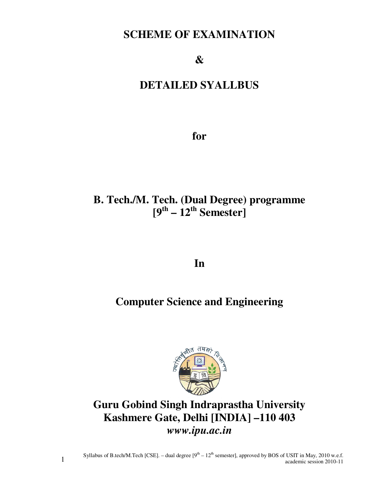# **SCHEME OF EXAMINATION**

**&** 

# **DETAILED SYALLBUS**

**for** 

# **B. Tech./M. Tech. (Dual Degree) programme**   $[9^{th} - 12^{th}$  Semester]

**In** 

# **Computer Science and Engineering**



**Guru Gobind Singh Indraprastha University Kashmere Gate, Delhi [INDIA] –110 403**  *www.ipu.ac.in*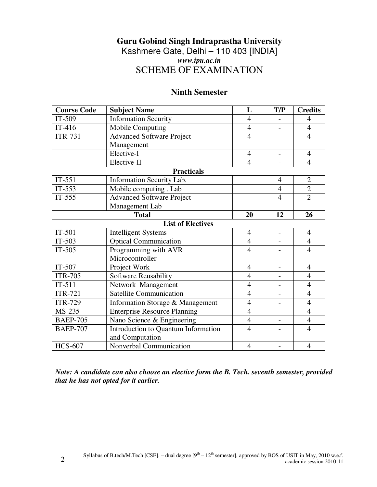# **Guru Gobind Singh Indraprastha University** Kashmere Gate, Delhi – 110 403 [INDIA] *www.ipu.ac.in* SCHEME OF EXAMINATION

# **Ninth Semester**

| <b>Course Code</b> | <b>Subject Name</b>                 | L                        | T/P               | <b>Credits</b> |
|--------------------|-------------------------------------|--------------------------|-------------------|----------------|
| IT-509             | <b>Information Security</b>         | $\overline{4}$           |                   | $\overline{4}$ |
| $IT-416$           | Mobile Computing                    | $\overline{4}$           |                   | $\overline{4}$ |
| <b>ITR-731</b>     | <b>Advanced Software Project</b>    | $\overline{4}$           |                   | $\overline{4}$ |
|                    | Management                          |                          |                   |                |
|                    | Elective-I                          | $\overline{4}$           | $\overline{a}$    | $\overline{4}$ |
|                    | Elective-II                         | $\overline{4}$           |                   | $\overline{4}$ |
|                    | <b>Practicals</b>                   |                          |                   |                |
| $IT-551$           | Information Security Lab.           |                          | $\overline{4}$    | $\overline{2}$ |
| $IT-553$           | Mobile computing . Lab              |                          | $\overline{4}$    | $\overline{2}$ |
| $IT-555$           | <b>Advanced Software Project</b>    |                          | $\overline{4}$    | $\overline{2}$ |
|                    | Management Lab                      |                          |                   |                |
|                    | <b>Total</b>                        | 20                       | 12                | 26             |
|                    | <b>List of Electives</b>            |                          |                   |                |
| $IT-501$           | <b>Intelligent Systems</b>          | $\overline{4}$           | $\overline{a}$    | $\overline{4}$ |
| $IT-503$           | <b>Optical Communication</b>        | 4                        |                   | $\overline{4}$ |
| $IT-505$           | Programming with AVR                | $\overline{4}$           |                   | $\overline{4}$ |
|                    | Microcontroller                     |                          |                   |                |
| IT-507             | Project Work                        | 4                        |                   | 4              |
| <b>ITR-705</b>     | Software Reusability                | $\overline{4}$           | $\qquad \qquad -$ | $\overline{4}$ |
| $IT-511$           | Network Management                  | $\overline{4}$           |                   | $\overline{4}$ |
| <b>ITR-721</b>     | <b>Satellite Communication</b>      | $\overline{4}$           |                   | $\overline{4}$ |
| <b>ITR-729</b>     | Information Storage & Management    | $\overline{4}$           | $\overline{a}$    | $\overline{4}$ |
| MS-235             | <b>Enterprise Resource Planning</b> | $\overline{\mathcal{A}}$ |                   | $\overline{4}$ |
| <b>BAEP-705</b>    | Nano Science & Engineering          | $\overline{4}$           |                   | $\overline{4}$ |
| <b>BAEP-707</b>    | Introduction to Quantum Information | $\overline{4}$           |                   | $\overline{4}$ |
|                    | and Computation                     |                          |                   |                |
| <b>HCS-607</b>     | Nonverbal Communication             | $\overline{\mathcal{A}}$ |                   | $\overline{4}$ |

*Note: A candidate can also choose an elective form the B. Tech. seventh semester, provided that he has not opted for it earlier.*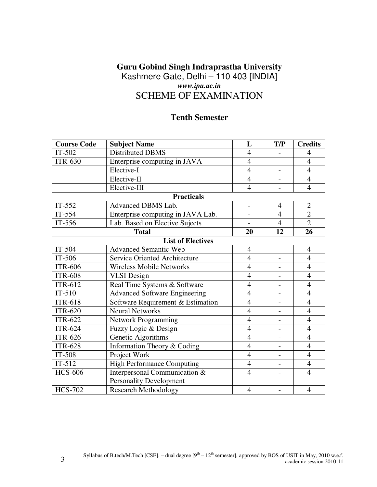# **Guru Gobind Singh Indraprastha University** Kashmere Gate, Delhi – 110 403 [INDIA] *www.ipu.ac.in* SCHEME OF EXAMINATION

# **Tenth Semester**

| <b>Course Code</b> | <b>Subject Name</b>                  | L              | T/P                      | <b>Credits</b> |
|--------------------|--------------------------------------|----------------|--------------------------|----------------|
| $IT-502$           | <b>Distributed DBMS</b>              | $\overline{4}$ |                          | $\overline{4}$ |
| <b>ITR-630</b>     | Enterprise computing in JAVA         | $\overline{4}$ |                          | $\overline{4}$ |
|                    | Elective-I                           | $\overline{4}$ |                          | $\overline{4}$ |
|                    | Elective-II                          | $\overline{4}$ |                          | $\overline{4}$ |
|                    | Elective-III                         | $\overline{4}$ |                          | $\overline{4}$ |
|                    | <b>Practicals</b>                    |                |                          |                |
| $IT-552$           | Advanced DBMS Lab.                   |                | $\overline{4}$           | $\overline{2}$ |
| IT-554             | Enterprise computing in JAVA Lab.    |                | $\overline{4}$           | $\overline{2}$ |
| $IT-556$           | Lab. Based on Elective Sujects       |                | $\overline{4}$           | $\overline{2}$ |
|                    | <b>Total</b>                         | 20             | 12                       | 26             |
|                    | <b>List of Electives</b>             |                |                          |                |
| $IT-504$           | <b>Advanced Semantic Web</b>         | $\overline{4}$ | $\overline{\phantom{a}}$ | $\overline{4}$ |
| IT-506             | <b>Service Oriented Architecture</b> | $\overline{4}$ |                          | $\overline{4}$ |
| <b>ITR-606</b>     | <b>Wireless Mobile Networks</b>      | $\overline{4}$ |                          | $\overline{4}$ |
| <b>ITR-608</b>     | <b>VLSI</b> Design                   | $\overline{4}$ | $\overline{\phantom{0}}$ | $\overline{4}$ |
| <b>ITR-612</b>     | Real Time Systems & Software         | $\overline{4}$ |                          | $\overline{4}$ |
| $IT-510$           | <b>Advanced Software Engineering</b> | $\overline{4}$ |                          | $\overline{4}$ |
| <b>ITR-618</b>     | Software Requirement & Estimation    | $\overline{4}$ |                          | $\overline{4}$ |
| <b>ITR-620</b>     | <b>Neural Networks</b>               | $\overline{4}$ |                          | $\overline{4}$ |
| <b>ITR-622</b>     | Network Programming                  | $\overline{4}$ |                          | $\overline{4}$ |
| <b>ITR-624</b>     | Fuzzy Logic & Design                 | $\overline{4}$ |                          | $\overline{4}$ |
| <b>ITR-626</b>     | Genetic Algorithms                   | $\overline{4}$ | $\overline{\phantom{0}}$ | $\overline{4}$ |
| <b>ITR-628</b>     | Information Theory & Coding          | $\overline{4}$ |                          | $\overline{4}$ |
| $IT-508$           | Project Work                         | $\overline{4}$ |                          | $\overline{4}$ |
| $IT-512$           | <b>High Performance Computing</b>    | $\overline{4}$ | $\overline{\phantom{0}}$ | $\overline{4}$ |
| <b>HCS-606</b>     | Interpersonal Communication &        | $\overline{4}$ |                          | $\overline{4}$ |
|                    | <b>Personality Development</b>       |                |                          |                |
| <b>HCS-702</b>     | <b>Research Methodology</b>          | $\overline{4}$ |                          | $\overline{4}$ |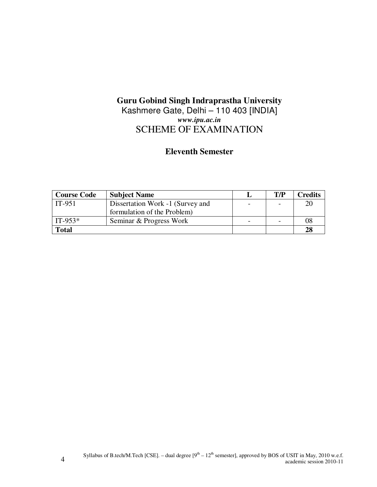# **Guru Gobind Singh Indraprastha University**

# Kashmere Gate, Delhi - 110 403 [INDIA] *www.ipu.ac.in* SCHEME OF EXAMINATION

# **Eleventh Semester**

| <b>Course Code</b> | <b>Subject Name</b>              | T/P | Credits |
|--------------------|----------------------------------|-----|---------|
| $IT-951$           | Dissertation Work -1 (Survey and |     | 20      |
|                    | formulation of the Problem)      |     |         |
| $IT-953*$          | Seminar & Progress Work          |     | 08      |
| <b>Total</b>       |                                  |     | 28      |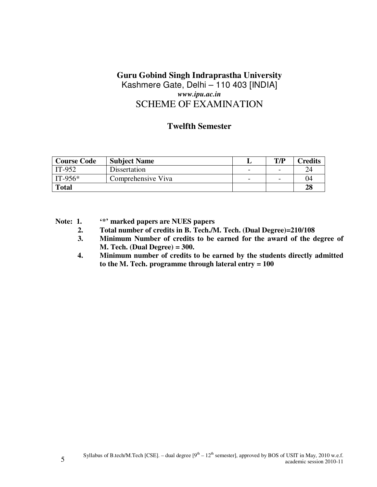# **Guru Gobind Singh Indraprastha University** Kashmere Gate, Delhi – 110 403 [INDIA] *www.ipu.ac.in* SCHEME OF EXAMINATION

# **Twelfth Semester**

| <b>Course Code</b> | <b>Subject Name</b> |   | T/P                      | $C$ redits |
|--------------------|---------------------|---|--------------------------|------------|
| IT-952             | Dissertation        | - | $\overline{\phantom{0}}$ | 24         |
| $IT-956*$          | Comprehensive Viva  | - | $\overline{\phantom{0}}$ | 04         |
| <b>Total</b>       |                     |   |                          | 28         |

**Note: 1. '\*' marked papers are NUES papers** 

- **2. Total number of credits in B. Tech./M. Tech. (Dual Degree)=210/108**
- **3. Minimum Number of credits to be earned for the award of the degree of M. Tech. (Dual Degree) = 300.**
- **4. Minimum number of credits to be earned by the students directly admitted to the M. Tech. programme through lateral entry = 100**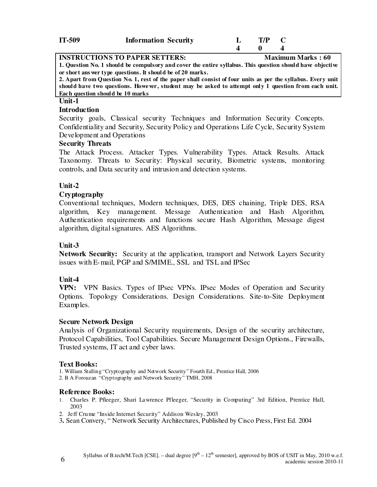| IT-509 | <b>Information Security</b> | T/P |  |
|--------|-----------------------------|-----|--|
|        |                             |     |  |
|        |                             |     |  |

**INSTRUCTIONS TO PAPER SETTERS:** Maximum Marks : 60 **1. Question No. 1 should be compulsory and cover the entire syllabus. This question should have objective or short ans wer type questions. It should be of 20 marks.** 

**2. Apart from Question No. 1, rest of the paper shall consist of four units as per the syllabus. Every unit should have two questions. However, student may be asked to attempt only 1 question from each unit. Each question should be 10 marks**

# **Unit-1**

#### **Introduction**

Security goals, Classical security Techniques and Information Security Concepts. Confidentiality and Security, Security Policy and Operations Life Cycle, Security System Development and Operations

### **Security Threats**

The Attack Process. Attacker Types. Vulnerability Types. Attack Results. Attack Taxonomy. Threats to Security: Physical security, Biometric systems, monitoring controls, and Data security and intrusion and detection systems.

# **Unit-2**

# **Cryptography**

Conventional techniques, Modern techniques, DES, DES chaining, Triple DES, RSA algorithm, Key management. Message Authentication and Hash Algorithm, Authentication requirements and functions secure Hash Algorithm, Message digest algorithm, digital signatures. AES Algorithms.

# **Unit-3**

**Network Security:** Security at the application, transport and Network Layers Security issues with E-mail, PGP and S/MIME., SSL and TSL and IPSec

# **Unit-4**

**VPN:** VPN Basics. Types of IPsec VPNs. IPsec Modes of Operation and Security Options. Topology Considerations. Design Considerations. Site-to-Site Deployment Examples.

### **Secure Network Design**

Analysis of Organizational Security requirements, Design of the security architecture, Protocol Capabilities, Tool Capabilities. Secure Management Design Options., Firewalls, Trusted systems, IT act and cyber laws.

#### **Text Books:**

1. William Stalling "Cryptography and Network Security" Fourth Ed., Prentice Hall, 2006 2. B A Forouzan "Cryptography and Network Security" TMH, 2008

#### **Reference Books:**

- 1. Charles P. Pfleeger, Shari Lawrence Pfleeger, "Security in Computing" 3rd Edition, Prentice Hall, 2003
- 2. Jeff Crume "Inside Internet Security" Addison Wesley, 2003
- 3**.** Sean Convery, " Network Security Architectures, Published by Cisco Press, First Ed. 2004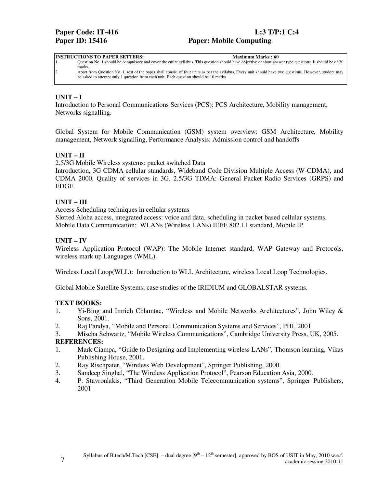#### **INSTRUCTIONS TO PAPER SETTERS:** Maximum Marks : 60

1. Question No. 1 should be compulsory and cover the entire syllabus. This question should have objective or short answer type questions. It should be of 20 marks.

2. Apart from Question No. 1, rest of the paper shall consist of four units as per the syllabus. Every unit should have two questions. However, student may be asked to attempt only 1 question from each unit. Each question should be 10 marks

#### **UNIT – I**

Introduction to Personal Communications Services (PCS): PCS Architecture, Mobility management, Networks signalling.

Global System for Mobile Communication (GSM) system overview: GSM Architecture, Mobility management, Network signalling, Performance Analysis: Admission control and handoffs

#### **UNIT – II**

2.5/3G Mobile Wireless systems: packet switched Data

Introduction, 3G CDMA cellular standards, Wideband Code Division Multiple Access (W-CDMA), and CDMA 2000, Quality of services in 3G. 2.5/3G TDMA: General Packet Radio Services (GRPS) and EDGE.

#### **UNIT – III**

Access Scheduling techniques in cellular systems

Slotted Aloha access, integrated access: voice and data, scheduling in packet based cellular systems. Mobile Data Communication: WLANs (Wireless LANs) IEEE 802.11 standard, Mobile IP.

#### **UNIT – IV**

Wireless Application Protocol (WAP): The Mobile Internet standard, WAP Gateway and Protocols, wireless mark up Languages (WML).

Wireless Local Loop(WLL): Introduction to WLL Architecture, wireless Local Loop Technologies.

Global Mobile Satellite Systems; case studies of the IRIDIUM and GLOBALSTAR systems.

#### **TEXT BOOKS:**

- 1. Yi-Bing and Imrich Chlamtac, "Wireless and Mobile Networks Architectures", John Wiley & Sons, 2001.
- 2. Raj Pandya, "Mobile and Personal Communication Systems and Services", PHI, 2001

3. Mischa Schwartz, "Mobile Wireless Communications", Cambridge University Press, UK, 2005. **REFERENCES:** 

- 1. Mark Ciampa, "Guide to Designing and Implementing wireless LANs", Thomson learning, Vikas Publishing House, 2001.
- 2. Ray Rischpater, "Wireless Web Development", Springer Publishing, 2000.
- 3. Sandeep Singhal, "The Wireless Application Protocol", Pearson Education Asia, 2000.
- 4. P. Stavronlakis, "Third Generation Mobile Telecommunication systems", Springer Publishers, 2001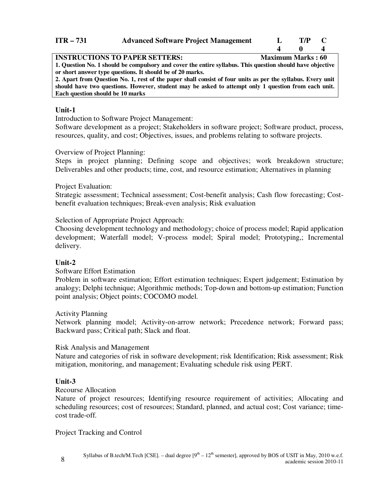### **ITR – 731 Advanced Software Project Management L T/P C 4 0 4**

| <b>INSTRUCTIONS TO PAPER SETTERS:</b>                                                                       | <b>Maximum Marks: 60</b> |
|-------------------------------------------------------------------------------------------------------------|--------------------------|
| 1. Question No. 1 should be compulsory and cover the entire syllabus. This question should have objective   |                          |
| or short answer type questions. It should be of 20 marks.                                                   |                          |
| 2. Apart from Question No. 1, rest of the paper shall consist of four units as per the syllabus. Every unit |                          |
| should have two questions. However, student may be asked to attempt only 1 question from each unit.         |                          |
| Each question should be 10 marks                                                                            |                          |

#### **Unit-1**

Introduction to Software Project Management:

Software development as a project; Stakeholders in software project; Software product, process, resources, quality, and cost; Objectives, issues, and problems relating to software projects.

#### Overview of Project Planning:

Steps in project planning; Defining scope and objectives; work breakdown structure; Deliverables and other products; time, cost, and resource estimation; Alternatives in planning

#### Project Evaluation:

Strategic assessment; Technical assessment; Cost-benefit analysis; Cash flow forecasting; Costbenefit evaluation techniques; Break-even analysis; Risk evaluation

Selection of Appropriate Project Approach:

Choosing development technology and methodology; choice of process model; Rapid application development; Waterfall model; V-process model; Spiral model; Prototyping,; Incremental delivery.

### **Unit-2**

#### Software Effort Estimation

Problem in software estimation; Effort estimation techniques; Expert judgement; Estimation by analogy; Delphi technique; Algorithmic methods; Top-down and bottom-up estimation; Function point analysis; Object points; COCOMO model.

Activity Planning

Network planning model; Activity-on-arrow network; Precedence network; Forward pass; Backward pass; Critical path; Slack and float.

#### Risk Analysis and Management

Nature and categories of risk in software development; risk Identification; Risk assessment; Risk mitigation, monitoring, and management; Evaluating schedule risk using PERT.

#### **Unit-3**

#### Recourse Allocation

Nature of project resources; Identifying resource requirement of activities; Allocating and scheduling resources; cost of resources; Standard, planned, and actual cost; Cost variance; timecost trade-off.

Project Tracking and Control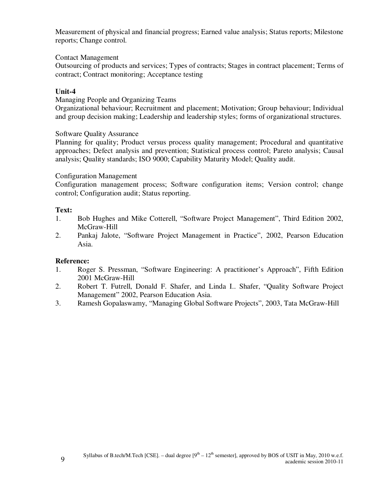Measurement of physical and financial progress; Earned value analysis; Status reports; Milestone reports; Change control.

Contact Management

Outsourcing of products and services; Types of contracts; Stages in contract placement; Terms of contract; Contract monitoring; Acceptance testing

# **Unit-4**

Managing People and Organizing Teams

Organizational behaviour; Recruitment and placement; Motivation; Group behaviour; Individual and group decision making; Leadership and leadership styles; forms of organizational structures.

Software Quality Assurance

Planning for quality; Product versus process quality management; Procedural and quantitative approaches; Defect analysis and prevention; Statistical process control; Pareto analysis; Causal analysis; Quality standards; ISO 9000; Capability Maturity Model; Quality audit.

#### Configuration Management

Configuration management process; Software configuration items; Version control; change control; Configuration audit; Status reporting.

### **Text:**

- 1. Bob Hughes and Mike Cotterell, "Software Project Management", Third Edition 2002, McGraw-Hill
- 2. Pankaj Jalote, "Software Project Management in Practice", 2002, Pearson Education Asia.

### **Reference:**

- 1. Roger S. Pressman, "Software Engineering: A practitioner's Approach", Fifth Edition 2001 McGraw-Hill
- 2. Robert T. Futrell, Donald F. Shafer, and Linda I.. Shafer, "Quality Software Project Management" 2002, Pearson Education Asia.
- 3. Ramesh Gopalaswamy, "Managing Global Software Projects", 2003, Tata McGraw-Hill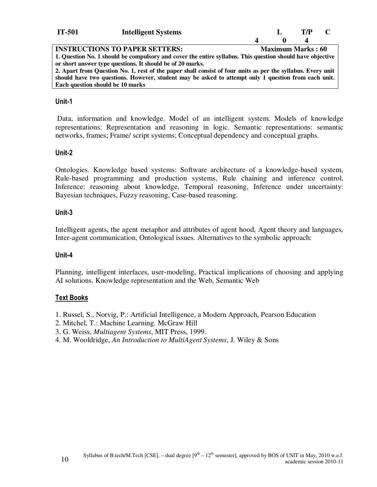| <b>IT-501</b> | <b>Intelligent Systems</b>              |  | T/D |  |
|---------------|-----------------------------------------|--|-----|--|
|               |                                         |  |     |  |
|               | <b>IMARDILARIAMA RA BI BED ARREFINA</b> |  |     |  |

**INSTRUCTIONS TO PAPER SETTERS:** Maximum Marks : 60 **1. Question No. 1 should be compulsory and cover the entire syllabus. This question should have objective or short answer type questions. It should be of 20 marks.** 

**2. Apart from Question No. 1, rest of the paper shall consist of four units as per the syllabus. Every unit should have two questions. However, student may be asked to attempt only 1 question from each unit. Each question should be 10 marks**

#### **Unit-1**

 Data, information and knowledge. Model of an intelligent system. Models of knowledge representations: Representation and reasoning in logic. Semantic representations: semantic networks, frames; Frame/ script systems; Conceptual dependency and conceptual graphs.

#### **Unit-2**

Ontologies. Knowledge based systems: Software architecture of a knowledge-based system, Rule-based programming and production systems, Rule chaining and inference control, Inference: reasoning about knowledge, Temporal reasoning, Inference under uncertainty: Bayesian techniques, Fuzzy reasoning, Case-based reasoning.

#### **Unit-3**

Intelligent agents, the agent metaphor and attributes of agent hood, Agent theory and languages, Inter-agent communication, Ontological issues. Alternatives to the symbolic approach:

#### **Unit-4**

Planning, intelligent interfaces, user-modeling, Practical implications of choosing and applying AI solutions. Knowledge representation and the Web, Semantic Web

### **Text Books**

- 1. Russel, S., Norvig, P.: Artificial Intelligence, a Modern Approach, Pearson Education
- 2. Mitchel, T.: Machine Learning. McGraw Hill
- 3. G. Weiss, *Multiagent Systems*, MIT Press, 1999.
- 4. M. Wooldridge, *An Introduction to MultiAgent Systems*, J. Wiley & Sons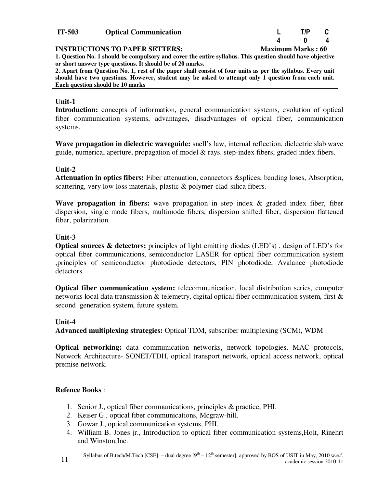| IT-503 | <b>Optical Communication</b> | T/P |  |
|--------|------------------------------|-----|--|
|        |                              |     |  |

| <b>IT-503</b> | <b>Optical Communication</b> | $T/P$ $C$                           |  |
|---------------|------------------------------|-------------------------------------|--|
|               |                              | $\begin{matrix} 0 & 4 \end{matrix}$ |  |

#### **INSTRUCTIONS TO PAPER SETTERS:** Maximum Marks : 60

**1. Question No. 1 should be compulsory and cover the entire syllabus. This question should have objective or short answer type questions. It should be of 20 marks.** 

**2. Apart from Question No. 1, rest of the paper shall consist of four units as per the syllabus. Every unit should have two questions. However, student may be asked to attempt only 1 question from each unit. Each question should be 10 marks**

#### **Unit-1**

**Introduction:** concepts of information, general communication systems, evolution of optical fiber communication systems, advantages, disadvantages of optical fiber, communication systems.

**Wave propagation in dielectric waveguide:** snell's law, internal reflection, dielectric slab wave guide, numerical aperture, propagation of model & rays. step-index fibers, graded index fibers.

#### **Unit-2**

**Attenuation in optics fibers:** Fiber attenuation, connectors &splices, bending loses, Absorption, scattering, very low loss materials, plastic & polymer-clad-silica fibers.

**Wave propagation in fibers:** wave propagation in step index & graded index fiber, fiber dispersion, single mode fibers, multimode fibers, dispersion shifted fiber, dispersion flattened fiber, polarization.

#### **Unit-3**

**Optical sources & detectors:** principles of light emitting diodes (LED's) , design of LED's for optical fiber communications, semiconductor LASER for optical fiber communication system ,principles of semiconductor photodiode detectors, PIN photodiode, Avalance photodiode detectors.

**Optical fiber communication system:** telecommunication, local distribution series, computer networks local data transmission & telemetry, digital optical fiber communication system, first & second generation system, future system.

#### **Unit-4**

**Advanced multiplexing strategies:** Optical TDM, subscriber multiplexing (SCM), WDM

**Optical networking:** data communication networks, network topologies, MAC protocols, Network Architecture- SONET/TDH, optical transport network, optical access network, optical premise network.

#### **Refence Books** :

- 1. Senior J., optical fiber communications, principles & practice, PHI.
- 2. Keiser G., optical fiber communications, Mcgraw-hill.
- 3. Gowar J., optical communication systems, PHI.
- 4. William B. Jones jr., Introduction to optical fiber communication systems,Holt, Rinehrt and Winston,Inc.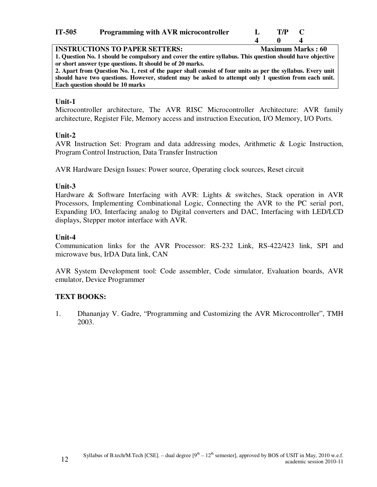| IT-505 | <b>Programming with AVR microcontroller</b> |  |  |  | T/P | $\blacksquare$ |                          |
|--------|---------------------------------------------|--|--|--|-----|----------------|--------------------------|
|        | <b>INSTRUCTIONS TO PAPER SETTERS:</b>       |  |  |  |     |                | <b>Maximum Marks: 60</b> |
|        |                                             |  |  |  |     |                | .                        |

**1. Question No. 1 should be compulsory and cover the entire syllabus. This question should have objective or short answer type questions. It should be of 20 marks.** 

**2. Apart from Question No. 1, rest of the paper shall consist of four units as per the syllabus. Every unit should have two questions. However, student may be asked to attempt only 1 question from each unit. Each question should be 10 marks**

### **Unit-1**

Microcontroller architecture, The AVR RISC Microcontroller Architecture: AVR family architecture, Register File, Memory access and instruction Execution, I/O Memory, I/O Ports.

### **Unit-2**

AVR Instruction Set: Program and data addressing modes, Arithmetic & Logic Instruction, Program Control Instruction, Data Transfer Instruction

AVR Hardware Design Issues: Power source, Operating clock sources, Reset circuit

# **Unit-3**

Hardware & Software Interfacing with AVR: Lights & switches, Stack operation in AVR Processors, Implementing Combinational Logic, Connecting the AVR to the PC serial port, Expanding I/O, Interfacing analog to Digital converters and DAC, Interfacing with LED/LCD displays, Stepper motor interface with AVR.

# **Unit-4**

Communication links for the AVR Processor: RS-232 Link, RS-422/423 link, SPI and microwave bus, IrDA Data link, CAN

AVR System Development tool: Code assembler, Code simulator, Evaluation boards, AVR emulator, Device Programmer

# **TEXT BOOKS:**

1. Dhananjay V. Gadre, "Programming and Customizing the AVR Microcontroller", TMH 2003.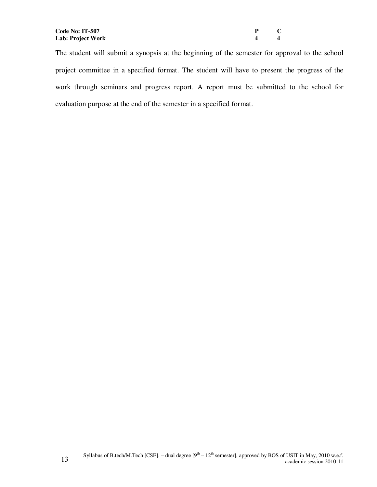| P                       | C |
|-------------------------|---|
| $\overline{\mathbf{4}}$ | 4 |

The student will submit a synopsis at the beginning of the semester for approval to the school project committee in a specified format. The student will have to present the progress of the work through seminars and progress report. A report must be submitted to the school for evaluation purpose at the end of the semester in a specified format.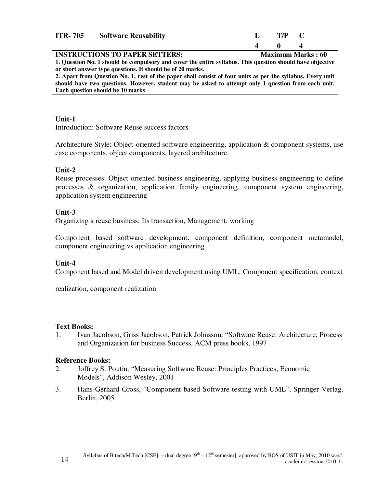| <b>ITR-705</b>                        | <b>Software Reusability</b> |                    | $T/P$ $C$      |                          |
|---------------------------------------|-----------------------------|--------------------|----------------|--------------------------|
|                                       |                             | $\mathbf{\Lambda}$ | $\blacksquare$ |                          |
| <b>INSTRUCTIONS TO PAPER SETTERS:</b> |                             |                    |                | <b>Maximum Marks: 60</b> |

**1. Question No. 1 should be compulsory and cover the entire syllabus. This question should have objective or short answer type questions. It should be of 20 marks.** 

**2. Apart from Question No. 1, rest of the paper shall consist of four units as per the syllabus. Every unit should have two questions. However, student may be asked to attempt only 1 question from each unit. Each question should be 10 marks**

#### **Unit-1**

Introduction: Software Reuse success factors

Architecture Style: Object-oriented software engineering, application & component systems, use case components, object components, layered architecture.

### **Unit-2**

Reuse processes: Object oriented business engineering, applying business engineering to define processes & organization, application family engineering, component system engineering, application system engineering

# **Unit-3**

Organizing a reuse business: Its transaction, Management, working

Component based software development: component definition, component metamodel, component engineering vs application engineering

### **Unit-4**

Component based and Model driven development using UML: Component specification, context

realization, component realization

### **Text Books:**

1. Ivan Jacobson, Griss Jacobson, Patrick Johnsson, "Software Reuse: Architecture, Process and Organization for business Success, ACM press books, 1997

### **Reference Books:**

- 2. Joffrey S. Poutin, "Measuring Software Reuse: Principles Practices, Economic Models", Addison Wesley, 2001
- 3. Hans-Gerhard Gross, "Component based Software testing with UML", Springer-Verlag, Berlin, 2005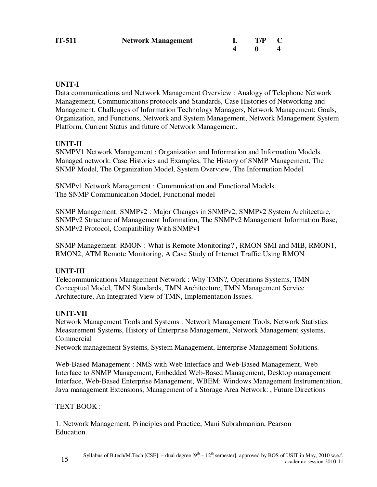| IT-511 | <b>Network Management</b> | $L$ T/P C |  |
|--------|---------------------------|-----------|--|
|        |                           |           |  |

# **UNIT-I**

Data communications and Network Management Overview : Analogy of Telephone Network Management, Communications protocols and Standards, Case Histories of Networking and Management, Challenges of Information Technology Managers, Network Management: Goals, Organization, and Functions, Network and System Management, Network Management System Platform, Current Status and future of Network Management.

# **UNIT-II**

SNMPV1 Network Management : Organization and Information and Information Models. Managed network: Case Histories and Examples, The History of SNMP Management, The SNMP Model, The Organization Model, System Overview, The Information Model.

SNMPv1 Network Management : Communication and Functional Models. The SNMP Communication Model, Functional model

SNMP Management: SNMPv2 : Major Changes in SNMPv2, SNMPv2 System Architecture, SNMPv2 Structure of Management Information, The SNMPv2 Management Information Base, SNMPv2 Protocol, Compatibility With SNMPv1

SNMP Management: RMON : What is Remote Monitoring? , RMON SMI and MIB, RMON1, RMON2, ATM Remote Monitoring, A Case Study of Internet Traffic Using RMON

### **UNIT-III**

Telecommunications Management Network : Why TMN?, Operations Systems, TMN Conceptual Model, TMN Standards, TMN Architecture, TMN Management Service Architecture, An Integrated View of TMN, Implementation Issues.

### **UNIT-VII**

Network Management Tools and Systems : Network Management Tools, Network Statistics Measurement Systems, History of Enterprise Management, Network Management systems, Commercial

Network management Systems, System Management, Enterprise Management Solutions.

Web-Based Management : NMS with Web Interface and Web-Based Management, Web Interface to SNMP Management, Embedded Web-Based Management, Desktop management Interface, Web-Based Enterprise Management, WBEM: Windows Management Instrumentation, Java management Extensions, Management of a Storage Area Network: , Future Directions

### TEXT BOOK :

1. Network Management, Principles and Practice, Mani Subrahmanian, Pearson Education.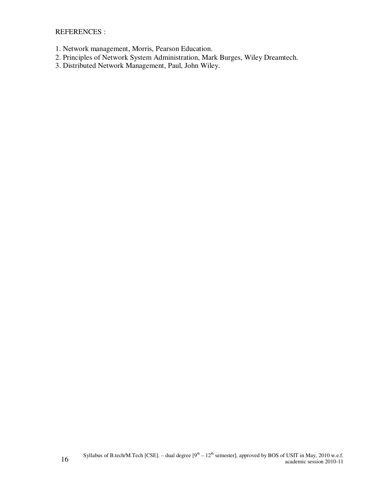REFERENCES :

- 1. Network management, Morris, Pearson Education.
- 2. Principles of Network System Administration, Mark Burges, Wiley Dreamtech.
- 3. Distributed Network Management, Paul, John Wiley.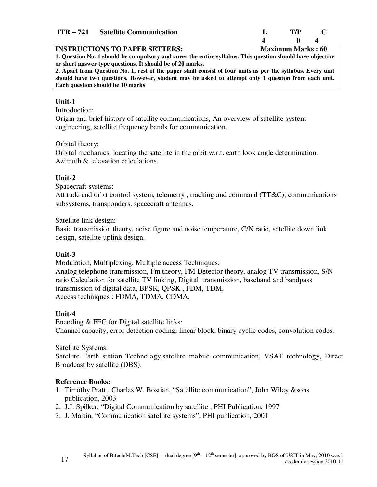| ITR – 721 Satellite Communication | $T/P$ $T$ |  |
|-----------------------------------|-----------|--|
|                                   |           |  |

#### **INSTRUCTIONS TO PAPER SETTERS:** Maximum Marks : 60

**1. Question No. 1 should be compulsory and cover the entire syllabus. This question should have objective or short answer type questions. It should be of 20 marks.** 

**2. Apart from Question No. 1, rest of the paper shall consist of four units as per the syllabus. Every unit should have two questions. However, student may be asked to attempt only 1 question from each unit. Each question should be 10 marks**

#### **Unit-1**

Introduction:

Origin and brief history of satellite communications, An overview of satellite system engineering, satellite frequency bands for communication.

#### Orbital theory:

Orbital mechanics, locating the satellite in the orbit w.r.t. earth look angle determination. Azimuth & elevation calculations.

### **Unit-2**

Spacecraft systems:

Attitude and orbit control system, telemetry , tracking and command (TT&C), communications subsystems, transponders, spacecraft antennas.

Satellite link design:

Basic transmission theory, noise figure and noise temperature, C/N ratio, satellite down link design, satellite uplink design.

### **Unit-3**

Modulation, Multiplexing, Multiple access Techniques:

Analog telephone transmission, Fm theory, FM Detector theory, analog TV transmission, S/N ratio Calculation for satellite TV linking, Digital transmission, baseband and bandpass transmission of digital data, BPSK, QPSK , FDM, TDM, Access techniques : FDMA, TDMA, CDMA.

### **Unit-4**

Encoding & FEC for Digital satellite links: Channel capacity, error detection coding, linear block, binary cyclic codes, convolution codes.

Satellite Systems:

Satellite Earth station Technology,satellite mobile communication, VSAT technology, Direct Broadcast by satellite (DBS).

### **Reference Books:**

- 1. Timothy Pratt , Charles W. Bostian, "Satellite communication", John Wiley &sons publication, 2003
- 2. J.J. Spilker, "Digital Communication by satellite , PHI Publication, 1997
- 3. J. Martin, "Communication satellite systems", PHI publication, 2001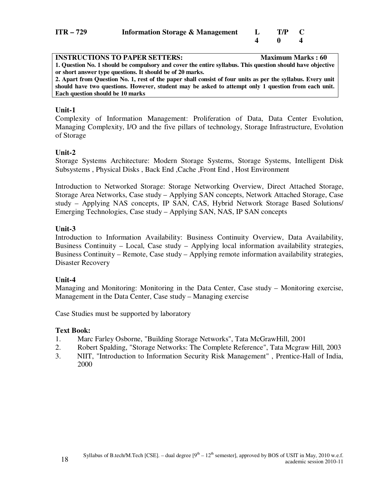| ITR – 729 | <b>Information Storage &amp; Management</b> | $T/P$ C |  |
|-----------|---------------------------------------------|---------|--|
|           |                                             |         |  |

| <b>INSTRUCTIONS TO PAPER SETTERS:</b>                                                                       | <b>Maximum Marks: 60</b> |
|-------------------------------------------------------------------------------------------------------------|--------------------------|
| 1. Question No. 1 should be compulsory and cover the entire syllabus. This question should have objective   |                          |
| or short answer type questions. It should be of 20 marks.                                                   |                          |
| 2. Apart from Question No. 1, rest of the paper shall consist of four units as per the syllabus. Every unit |                          |
| should have two questions. However, student may be asked to attempt only 1 question from each unit.         |                          |
| Each question should be 10 marks                                                                            |                          |
|                                                                                                             |                          |

Complexity of Information Management: Proliferation of Data, Data Center Evolution, Managing Complexity, I/O and the five pillars of technology, Storage Infrastructure, Evolution of Storage

#### **Unit-2**

Storage Systems Architecture: Modern Storage Systems, Storage Systems, Intelligent Disk Subsystems , Physical Disks , Back End ,Cache ,Front End , Host Environment

Introduction to Networked Storage: Storage Networking Overview, Direct Attached Storage, Storage Area Networks, Case study – Applying SAN concepts, Network Attached Storage, Case study – Applying NAS concepts, IP SAN, CAS, Hybrid Network Storage Based Solutions/ Emerging Technologies, Case study – Applying SAN, NAS, IP SAN concepts

#### **Unit-3**

Introduction to Information Availability: Business Continuity Overview, Data Availability, Business Continuity – Local, Case study – Applying local information availability strategies, Business Continuity – Remote, Case study – Applying remote information availability strategies, Disaster Recovery

#### **Unit-4**

Managing and Monitoring: Monitoring in the Data Center, Case study – Monitoring exercise, Management in the Data Center, Case study – Managing exercise

Case Studies must be supported by laboratory

#### **Text Book:**

- 1. Marc Farley Osborne, "Building Storage Networks", Tata McGrawHill, 2001
- 2. Robert Spalding, "Storage Networks: The Complete Reference", Tata Mcgraw Hill, 2003
- 3. NIIT, "Introduction to Information Security Risk Management" , Prentice-Hall of India, 2000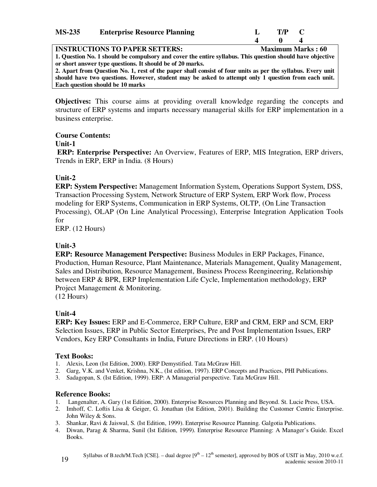| <b>MS-235</b> | <b>Enterprise Resource Planning</b> | T/P |  |
|---------------|-------------------------------------|-----|--|
|               |                                     |     |  |
|               |                                     |     |  |

**INSTRUCTIONS TO PAPER SETTERS:** Maximum Marks : 60 **1. Question No. 1 should be compulsory and cover the entire syllabus. This question should have objective or short answer type questions. It should be of 20 marks.** 

**2. Apart from Question No. 1, rest of the paper shall consist of four units as per the syllabus. Every unit should have two questions. However, student may be asked to attempt only 1 question from each unit. Each question should be 10 marks**

**Objectives:** This course aims at providing overall knowledge regarding the concepts and structure of ERP systems and imparts necessary managerial skills for ERP implementation in a business enterprise.

#### **Course Contents:**

#### **Unit-1**

**ERP: Enterprise Perspective:** An Overview, Features of ERP, MIS Integration, ERP drivers, Trends in ERP, ERP in India. (8 Hours)

### **Unit-2**

**ERP: System Perspective:** Management Information System, Operations Support System, DSS, Transaction Processing System, Network Structure of ERP System, ERP Work flow, Process modeling for ERP Systems, Communication in ERP Systems, OLTP, (On Line Transaction Processing), OLAP (On Line Analytical Processing), Enterprise Integration Application Tools for

ERP. (12 Hours)

### **Unit-3**

**ERP: Resource Management Perspective:** Business Modules in ERP Packages, Finance, Production, Human Resource, Plant Maintenance, Materials Management, Quality Management, Sales and Distribution, Resource Management, Business Process Reengineering, Relationship between ERP & BPR, ERP Implementation Life Cycle, Implementation methodology, ERP Project Management & Monitoring.

(12 Hours)

### **Unit-4**

**ERP: Key Issues:** ERP and E-Commerce, ERP Culture, ERP and CRM, ERP and SCM, ERP Selection Issues, ERP in Public Sector Enterprises, Pre and Post Implementation Issues, ERP Vendors, Key ERP Consultants in India, Future Directions in ERP. (10 Hours)

### **Text Books:**

- 1. Alexis, Leon (Ist Edition, 2000). ERP Demystified. Tata McGraw Hill.
- 2. Garg, V.K. and Venket, Krishna, N.K., (Ist edition, 1997). ERP Concepts and Practices, PHI Publications.
- 3. Sadagopan, S. (Ist Edition, 1999). ERP: A Managerial perspective. Tata McGraw Hill.

### **Reference Books:**

- 1. Langenalter, A. Gary (1st Edition, 2000). Enterprise Resources Planning and Beyond. St. Lucie Press, USA.
- 2. Imhoff, C. Loftis Lisa & Geiger, G. Jonathan (Ist Edition, 2001). Building the Customer Centric Enterprise. John Wiley & Sons.
- 3. Shankar, Ravi & Jaiswal, S. (Ist Edition, 1999). Enterprise Resource Planning. Galgotia Publications.
- 4. Diwan, Parag & Sharma, Sunil (Ist Edition, 1999). Enterprise Resource Planning: A Manager's Guide. Excel Books.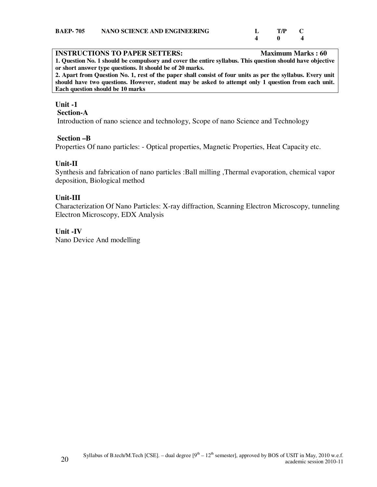#### **INSTRUCTIONS TO PAPER SETTERS:** Maximum Marks : 60

**1. Question No. 1 should be compulsory and cover the entire syllabus. This question should have objective or short answer type questions. It should be of 20 marks.** 

**2. Apart from Question No. 1, rest of the paper shall consist of four units as per the syllabus. Every unit should have two questions. However, student may be asked to attempt only 1 question from each unit. Each question should be 10 marks**

 $\overline{\phantom{a}}$ 

#### **Unit -1**

#### **Section-A**

Introduction of nano science and technology, Scope of nano Science and Technology

#### **Section –B**

Properties Of nano particles: - Optical properties, Magnetic Properties, Heat Capacity etc.

#### **Unit-II**

Synthesis and fabrication of nano particles :Ball milling ,Thermal evaporation, chemical vapor deposition, Biological method

#### **Unit-III**

Characterization Of Nano Particles: X-ray diffraction, Scanning Electron Microscopy, tunneling Electron Microscopy, EDX Analysis

#### **Unit -IV**

Nano Device And modelling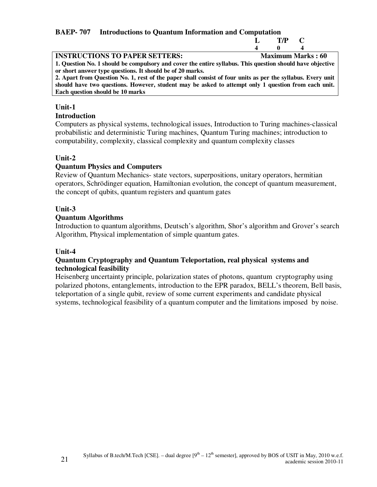# **BAEP- 707 Introductions to Quantum Information and Computation**

|                                                                                                                                                                        |                  | T/P                      | C |  |
|------------------------------------------------------------------------------------------------------------------------------------------------------------------------|------------------|--------------------------|---|--|
|                                                                                                                                                                        | $\boldsymbol{4}$ | 0                        |   |  |
| <b>INSTRUCTIONS TO PAPER SETTERS:</b>                                                                                                                                  |                  | <b>Maximum Marks: 60</b> |   |  |
| 1. Question No. 1 should be compulsory and cover the entire syllabus. This question should have objective<br>or short answer type questions. It should be of 20 marks. |                  |                          |   |  |
| 2. Apart from Question No. 1, rest of the paper shall consist of four units as per the syllabus. Every unit                                                            |                  |                          |   |  |
| should have two questions. However, student may be asked to attempt only 1 question from each unit.                                                                    |                  |                          |   |  |
| Each question should be 10 marks                                                                                                                                       |                  |                          |   |  |
|                                                                                                                                                                        |                  |                          |   |  |

#### **Unit-1**

#### **Introduction**

Computers as physical systems, technological issues, Introduction to Turing machines-classical probabilistic and deterministic Turing machines, Quantum Turing machines; introduction to computability, complexity, classical complexity and quantum complexity classes

#### **Unit-2**

#### **Quantum Physics and Computers**

Review of Quantum Mechanics- state vectors, superpositions, unitary operators, hermitian operators, Schrödinger equation, Hamiltonian evolution, the concept of quantum measurement, the concept of qubits, quantum registers and quantum gates

#### **Unit-3**

#### **Quantum Algorithms**

Introduction to quantum algorithms, Deutsch's algorithm, Shor's algorithm and Grover's search Algorithm, Physical implementation of simple quantum gates.

#### **Unit-4**

#### **Quantum Cryptography and Quantum Teleportation, real physical systems and technological feasibility**

Heisenberg uncertainty principle, polarization states of photons, quantum cryptography using polarized photons, entanglements, introduction to the EPR paradox, BELL's theorem, Bell basis, teleportation of a single qubit, review of some current experiments and candidate physical systems, technological feasibility of a quantum computer and the limitations imposed by noise.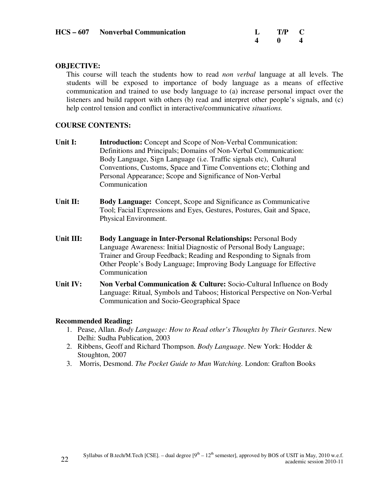| <b>HCS – 607</b> Nonverbal Communication | $L$ T/P C |  |
|------------------------------------------|-----------|--|
|                                          |           |  |

#### **OBJECTIVE:**

This course will teach the students how to read *non verbal* language at all levels. The students will be exposed to importance of body language as a means of effective communication and trained to use body language to (a) increase personal impact over the listeners and build rapport with others (b) read and interpret other people's signals, and (c) help control tension and conflict in interactive/communicative *situations.* 

#### **COURSE CONTENTS:**

- **Unit I:** Introduction: Concept and Scope of Non-Verbal Communication: Definitions and Principals; Domains of Non-Verbal Communication: Body Language, Sign Language (i.e. Traffic signals etc), Cultural Conventions, Customs, Space and Time Conventions etc; Clothing and Personal Appearance; Scope and Significance of Non-Verbal **Communication**
- **Unit II: Body Language:** Concept, Scope and Significance as Communicative Tool; Facial Expressions and Eyes, Gestures, Postures, Gait and Space, Physical Environment.
- **Unit III: Body Language in Inter-Personal Relationships:** Personal Body Language Awareness: Initial Diagnostic of Personal Body Language; Trainer and Group Feedback; Reading and Responding to Signals from Other People's Body Language; Improving Body Language for Effective Communication
- **Unit IV:** Non Verbal Communication & Culture: Socio-Cultural Influence on Body Language: Ritual, Symbols and Taboos; Historical Perspective on Non-Verbal Communication and Socio-Geographical Space

#### **Recommended Reading:**

- 1. Pease, Allan. *Body Language: How to Read other's Thoughts by Their Gestures*. New Delhi: Sudha Publication, 2003
- 2. Ribbens, Geoff and Richard Thompson. *Body Language*. New York: Hodder & Stoughton, 2007
- 3. Morris, Desmond. *The Pocket Guide to Man Watching.* London: Grafton Books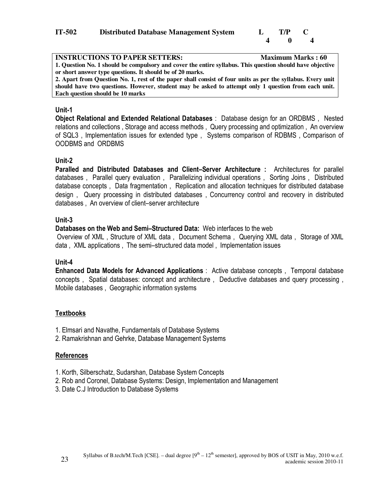

| <b>INSTRUCTIONS TO PAPER SETTERS:</b>                                                                       | <b>Maximum Marks: 60</b> |
|-------------------------------------------------------------------------------------------------------------|--------------------------|
| 1. Question No. 1 should be compulsory and cover the entire syllabus. This question should have objective   |                          |
| or short answer type questions. It should be of 20 marks.                                                   |                          |
| 2. Apart from Question No. 1, rest of the paper shall consist of four units as per the syllabus. Every unit |                          |
| should have two questions. However, student may be asked to attempt only 1 question from each unit.         |                          |
| Each question should be 10 marks                                                                            |                          |

**Object Relational and Extended Relational Databases** : Database design for an ORDBMS , Nested relations and collections , Storage and access methods , Query processing and optimization , An overview of SQL3 , Implementation issues for extended type , Systems comparison of RDBMS , Comparison of OODBMS and ORDBMS

#### **Unit-2**

**Paralled and Distributed Databases and Client–Server Architecture :** Architectures for parallel databases , Parallel query evaluation , Parallelizing individual operations , Sorting Joins , Distributed database concepts , Data fragmentation , Replication and allocation techniques for distributed database design , Query processing in distributed databases , Concurrency control and recovery in distributed databases , An overview of client–server architecture

#### **Unit-3**

#### **Databases on the Web and Semi–Structured Data:** Web interfaces to the web

 Overview of XML , Structure of XML data , Document Schema , Querying XML data , Storage of XML data , XML applications , The semi–structured data model , Implementation issues

#### **Unit-4**

**Enhanced Data Models for Advanced Applications** : Active database concepts , Temporal database concepts , Spatial databases: concept and architecture , Deductive databases and query processing , Mobile databases , Geographic information systems

### **Textbooks**

- 1. Elmsari and Navathe, Fundamentals of Database Systems
- 2. Ramakrishnan and Gehrke, Database Management Systems

#### **References**

- 1. Korth, Silberschatz, Sudarshan, Database System Concepts
- 2. Rob and Coronel, Database Systems: Design, Implementation and Management
- 3. Date C.J Introduction to Database Systems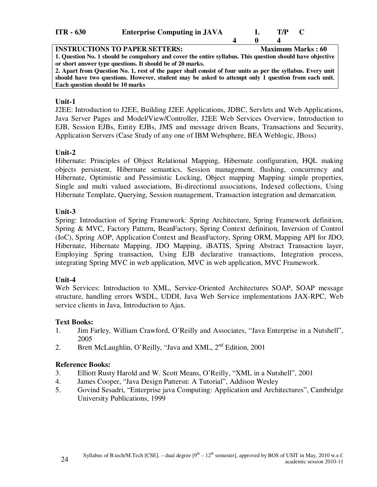| ITR - 630 | <b>Enterprise Computing in JAVA</b> |  | $T/P \quad C$ |  |  |
|-----------|-------------------------------------|--|---------------|--|--|
|-----------|-------------------------------------|--|---------------|--|--|

| <b>INSTRUCTIONS TO PAPER SETTERS:</b>                                                                                                             |  | <b>Maximum Marks: 60</b> |  |
|---------------------------------------------------------------------------------------------------------------------------------------------------|--|--------------------------|--|
| 1. Question No. 1 should be compulsory and cover the entire syllabus. This question should have objective                                         |  |                          |  |
| or short answer type questions. It should be of 20 marks.                                                                                         |  |                          |  |
| $\Lambda$ is a finite $\Lambda$ and $\Lambda$ is the second of the second of $\ell$ in $\Lambda$ is a finite second in $\Lambda$ . Then $\Lambda$ |  |                          |  |

**2. Apart from Question No. 1, rest of the paper shall consist of four units as per the syllabus. Every unit should have two questions. However, student may be asked to attempt only 1 question from each unit. Each question should be 10 marks**

#### **Unit-1**

J2EE: Introduction to J2EE, Building J2EE Applications, JDBC, Servlets and Web Applications, Java Server Pages and Model/View/Controller, J2EE Web Services Overview, Introduction to EJB, Session EJBs, Entity EJBs, JMS and message driven Beans, Transactions and Security, Application Servers (Case Study of any one of IBM Websphere, BEA Weblogic, JBoss)

### **Unit-2**

Hibernate: Principles of Object Relational Mapping, Hibernate configuration, HQL making objects persistent, Hibernate semantics, Session management, flushing, concurrency and Hibernate, Optimistic and Pessimistic Locking, Object mapping Mapping simple properties, Single and multi valued associations, Bi-directional associations, Indexed collections, Using Hibernate Template, Querying, Session management, Transaction integration and demarcation.

#### **Unit-3**

Spring: Introduction of Spring Framework: Spring Architecture, Spring Framework definition, Spring & MVC, Factory Pattern, BeanFactory, Spring Context definition, Inversion of Control (IoC), Spring AOP, Application Context and BeanFactory, Spring ORM, Mapping API for JDO, Hibernate, Hibernate Mapping, JDO Mapping, iBATIS, Spring Abstract Transaction layer, Employing Spring transaction, Using EJB declarative transactions, Integration process, integrating Spring MVC in web application, MVC in web application, MVC Framework.

#### **Unit-4**

Web Services: Introduction to XML, Service-Oriented Architectures SOAP, SOAP message structure, handling errors WSDL, UDDI, Java Web Service implementations JAX-RPC, Web service clients in Java, Introduction to Ajax.

#### **Text Books:**

- 1. Jim Farley, William Crawford, O'Reilly and Associates, "Java Enterprise in a Nutshell", 2005
- 2. Brett McLaughlin, O'Reilly, "Java and XML, 2<sup>nd</sup> Edition, 2001

#### **Reference Books:**

- 3. Elliott Rusty Harold and W. Scott Means, O'Reilly, "XML in a Nutshell", 2001
- 4. James Cooper, "Java Design Pattersn: A Tutorial", Addison Wesley
- 5. Govind Sesadri, "Enterprise java Computing: Application and Architectures", Cambridge University Publications, 1999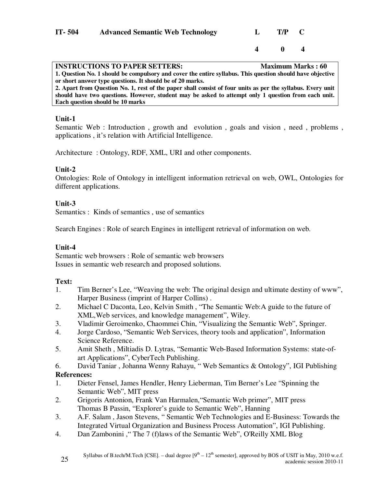| $IT-504$ | <b>Advanced Semantic Web Technology</b> | $\mathbf{L}$ | T/P C |  |
|----------|-----------------------------------------|--------------|-------|--|
|          |                                         |              | 4 0 4 |  |

| <b>INSTRUCTIONS TO PAPER SETTERS:</b>                                                                       | <b>Maximum Marks: 60</b> |
|-------------------------------------------------------------------------------------------------------------|--------------------------|
| 1. Question No. 1 should be compulsory and cover the entire syllabus. This question should have objective   |                          |
| or short answer type questions. It should be of 20 marks.                                                   |                          |
| 2. Apart from Question No. 1, rest of the paper shall consist of four units as per the syllabus. Every unit |                          |
| should have two questions. However, student may be asked to attempt only 1 question from each unit.         |                          |
| Each question should be 10 marks                                                                            |                          |

Semantic Web : Introduction, growth and evolution, goals and vision, need, problems, applications , it's relation with Artificial Intelligence.

Architecture : Ontology, RDF, XML, URI and other components.

### **Unit-2**

Ontologies: Role of Ontology in intelligent information retrieval on web, OWL, Ontologies for different applications.

### **Unit-3**

Semantics : Kinds of semantics , use of semantics

Search Engines : Role of search Engines in intelligent retrieval of information on web.

### **Unit-4**

Semantic web browsers : Role of semantic web browsers Issues in semantic web research and proposed solutions.

### **Text:**

- 1. Tim Berner's Lee, "Weaving the web: The original design and ultimate destiny of www", Harper Business (imprint of Harper Collins) .
- 2. Michael C Daconta, Leo, Kelvin Smith , "The Semantic Web:A guide to the future of XML,Web services, and knowledge management", Wiley.
- 3. Vladimir Geroimenko, Chaommei Chin, "Visualizing the Semantic Web", Springer.
- 4. Jorge Cardoso, "Semantic Web Services, theory tools and application", Information Science Reference.
- 5. Amit Sheth , Miltiadis D. Lytras, "Semantic Web-Based Information Systems: state-ofart Applications", CyberTech Publishing.

6. David Taniar , Johanna Wenny Rahayu, " Web Semantics & Ontology", IGI Publishing **References:**

- 1. Dieter Fensel, James Hendler, Henry Lieberman, Tim Berner's Lee "Spinning the Semantic Web", MIT press
- 2. Grigoris Antonion, Frank Van Harmalen,"Semantic Web primer", MIT press Thomas B Passin, "Explorer's guide to Semantic Web", Hanning
- 3. A.F. Salam , Jason Stevens, " Semantic Web Technologies and E-Business: Towards the Integrated Virtual Organization and Business Process Automation", IGI Publishing.
- 4. Dan Zambonini ," The 7 (f)laws of the Semantic Web", O'Reilly XML Blog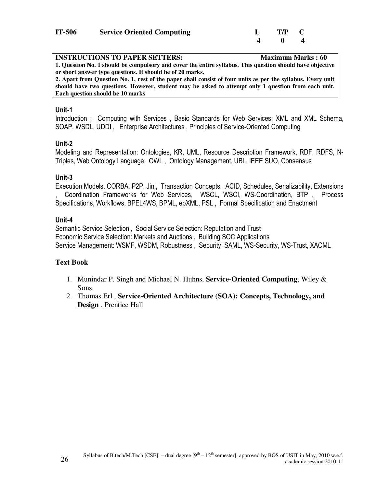| IT-506 | <b>Service Oriented Computing</b> | $L$ T/P C |  |
|--------|-----------------------------------|-----------|--|
|        |                                   |           |  |

| <b>INSTRUCTIONS TO PAPER SETTERS:</b>                                                                       | <b>Maximum Marks: 60</b> |
|-------------------------------------------------------------------------------------------------------------|--------------------------|
| 1. Question No. 1 should be compulsory and cover the entire syllabus. This question should have objective   |                          |
| or short answer type questions. It should be of 20 marks.                                                   |                          |
| 2. Apart from Question No. 1, rest of the paper shall consist of four units as per the syllabus. Every unit |                          |
| should have two questions. However, student may be asked to attempt only 1 question from each unit.         |                          |
| Each question should be 10 marks                                                                            |                          |

Introduction : Computing with Services , Basic Standards for Web Services: XML and XML Schema, SOAP, WSDL, UDDI , Enterprise Architectures , Principles of Service-Oriented Computing

#### **Unit-2**

Modeling and Representation: Ontologies, KR, UML, Resource Description Framework, RDF, RDFS, N-Triples, Web Ontology Language, OWL , Ontology Management, UBL, IEEE SUO, Consensus

#### **Unit-3**

Execution Models, CORBA, P2P, Jini, Transaction Concepts, ACID, Schedules, Serializability, Extensions , Coordination Frameworks for Web Services, WSCL, WSCI, WS-Coordination, BTP , Process Specifications, Workflows, BPEL4WS, BPML, ebXML, PSL , Formal Specification and Enactment

#### **Unit-4**

Semantic Service Selection , Social Service Selection: Reputation and Trust Economic Service Selection: Markets and Auctions , Building SOC Applications Service Management: WSMF, WSDM, Robustness , Security: SAML, WS-Security, WS-Trust, XACML

### **Text Book**

- 1. Munindar P. Singh and Michael N. Huhns, **Service-Oriented Computing**, Wiley & Sons.
- 2. Thomas Erl , **Service-Oriented Architecture (SOA): Concepts, Technology, and Design** , Prentice Hall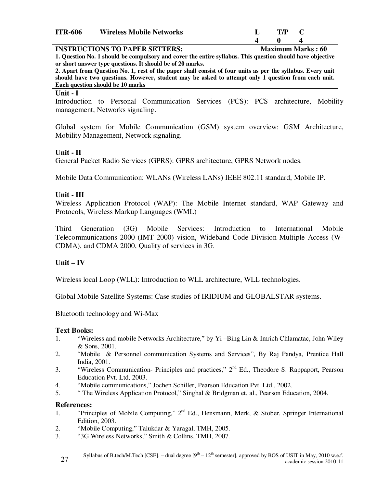| <b>ITR-606</b> | <b>Wireless Mobile Networks</b> | T/P |  |
|----------------|---------------------------------|-----|--|
|                |                                 |     |  |

#### **INSTRUCTIONS TO PAPER SETTERS:** Maximum Marks : 60

**1. Question No. 1 should be compulsory and cover the entire syllabus. This question should have objective or short answer type questions. It should be of 20 marks.** 

**2. Apart from Question No. 1, rest of the paper shall consist of four units as per the syllabus. Every unit should have two questions. However, student may be asked to attempt only 1 question from each unit. Each question should be 10 marks**

#### **Unit - I**

Introduction to Personal Communication Services (PCS): PCS architecture, Mobility management, Networks signaling.

Global system for Mobile Communication (GSM) system overview: GSM Architecture, Mobility Management, Network signaling.

#### **Unit - II**

General Packet Radio Services (GPRS): GPRS architecture, GPRS Network nodes.

Mobile Data Communication: WLANs (Wireless LANs) IEEE 802.11 standard, Mobile IP.

#### **Unit - III**

Wireless Application Protocol (WAP): The Mobile Internet standard, WAP Gateway and Protocols, Wireless Markup Languages (WML)

Third Generation (3G) Mobile Services: Introduction to International Mobile Telecommunications 2000 (IMT 2000) vision, Wideband Code Division Multiple Access (W-CDMA), and CDMA 2000, Quality of services in 3G.

#### **Unit – IV**

Wireless local Loop (WLL): Introduction to WLL architecture, WLL technologies.

Global Mobile Satellite Systems: Case studies of IRIDIUM and GLOBALSTAR systems.

Bluetooth technology and Wi-Max

#### **Text Books:**

- 1. "Wireless and mobile Networks Architecture," by Yi –Bing Lin & Imrich Chlamatac, John Wiley & Sons, 2001.
- 2. "Mobile & Personnel communication Systems and Services", By Raj Pandya, Prentice Hall India, 2001.
- 3. "Wireless Communication- Principles and practices,"  $2<sup>nd</sup>$  Ed., Theodore S. Rappaport, Pearson Education Pvt. Ltd, 2003.
- 4. "Mobile communications," Jochen Schiller, Pearson Education Pvt. Ltd., 2002.
- 5. " The Wireless Application Protocol," Singhal & Bridgman et. al., Pearson Education, 2004.

#### **References:**

- 1. "Principles of Mobile Computing," 2<sup>nd</sup> Ed., Hensmann, Merk, & Stober, Springer International Edition, 2003.
- 2. "Mobile Computing," Talukdar & Yaragal, TMH, 2005.
- 3. "3G Wireless Networks," Smith & Collins, TMH, 2007.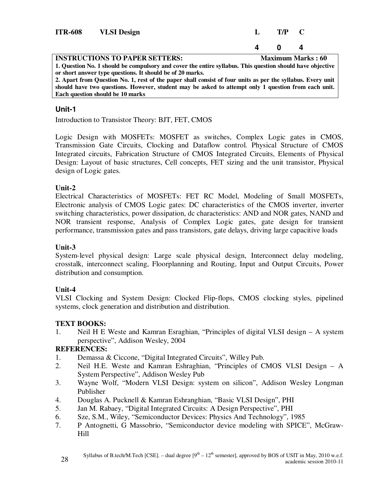| <b>ITR-608</b> | <b>VLSI</b> Design                    |              | $T/P = C$ |                          |
|----------------|---------------------------------------|--------------|-----------|--------------------------|
|                |                                       | $\mathbf{a}$ |           | Д                        |
|                | <b>INSTRUCTIONS TO PAPER SETTERS:</b> |              |           | <b>Maximum Marks: 60</b> |

**1. Question No. 1 should be compulsory and cover the entire syllabus. This question should have objective or short answer type questions. It should be of 20 marks. 2. Apart from Question No. 1, rest of the paper shall consist of four units as per the syllabus. Every unit should have two questions. However, student may be asked to attempt only 1 question from each unit. Each question should be 10 marks**

# **Unit-1**

Introduction to Transistor Theory: BJT, FET, CMOS

Logic Design with MOSFETs: MOSFET as switches, Complex Logic gates in CMOS, Transmission Gate Circuits, Clocking and Dataflow control. Physical Structure of CMOS Integrated circuits, Fabrication Structure of CMOS Integrated Circuits, Elements of Physical Design: Layout of basic structures, Cell concepts, FET sizing and the unit transistor, Physical design of Logic gates.

### **Unit-2**

Electrical Characteristics of MOSFETs: FET RC Model, Modeling of Small MOSFETs, Electronic analysis of CMOS Logic gates: DC characteristics of the CMOS inverter, inverter switching characteristics, power dissipation, dc characteristics: AND and NOR gates, NAND and NOR transient response, Analysis of Complex Logic gates, gate design for transient performance, transmission gates and pass transistors, gate delays, driving large capacitive loads

# **Unit-3**

System-level physical design: Large scale physical design, Interconnect delay modeling, crosstalk, interconnect scaling, Floorplanning and Routing, Input and Output Circuits, Power distribution and consumption.

# **Unit-4**

VLSI Clocking and System Design: Clocked Flip-flops, CMOS clocking styles, pipelined systems, clock generation and distribution and distribution.

# **TEXT BOOKS:**

1. Neil H E Weste and Kamran Esraghian, "Principles of digital VLSI design – A system perspective", Addison Wesley, 2004

### **REFERENCES:**

- 1. Demassa & Ciccone, "Digital Integrated Circuits", Willey Pub.
- 2. Neil H.E. Weste and Kamran Eshraghian, "Principles of CMOS VLSI Design A System Perspective", Addison Wesley Pub
- 3. Wayne Wolf, "Modern VLSI Design: system on silicon", Addison Wesley Longman Publisher
- 4. Douglas A. Pucknell & Kamran Eshranghian, "Basic VLSI Design", PHI
- 5. Jan M. Rabaey, "Digital Integrated Circuits: A Design Perspective", PHI
- 6. Sze, S.M., Wiley, "Semiconductor Devices: Physics And Technology", 1985
- 7. P Antognetti, G Massobrio, "Semiconductor device modeling with SPICE", McGraw-Hill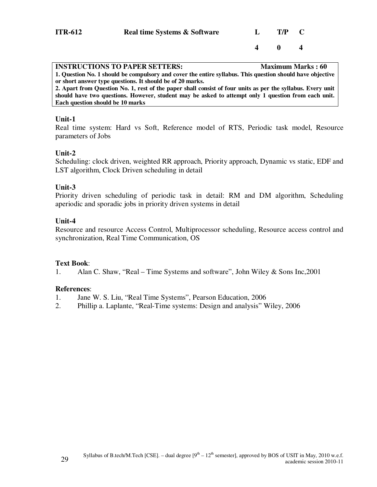**4 0 4** 

| <b>INSTRUCTIONS TO PAPER SETTERS:</b>                                                                       | <b>Maximum Marks: 60</b> |
|-------------------------------------------------------------------------------------------------------------|--------------------------|
| 1. Question No. 1 should be compulsory and cover the entire syllabus. This question should have objective   |                          |
| or short answer type questions. It should be of 20 marks.                                                   |                          |
| 2. Apart from Question No. 1, rest of the paper shall consist of four units as per the syllabus. Every unit |                          |
| should have two questions. However, student may be asked to attempt only 1 question from each unit.         |                          |
| Each question should be 10 marks                                                                            |                          |
|                                                                                                             |                          |
|                                                                                                             |                          |

# **Unit-1**

Real time system: Hard vs Soft, Reference model of RTS, Periodic task model, Resource parameters of Jobs

#### **Unit-2**

Scheduling: clock driven, weighted RR approach, Priority approach, Dynamic vs static, EDF and LST algorithm, Clock Driven scheduling in detail

#### **Unit-3**

Priority driven scheduling of periodic task in detail: RM and DM algorithm, Scheduling aperiodic and sporadic jobs in priority driven systems in detail

#### **Unit-4**

Resource and resource Access Control, Multiprocessor scheduling, Resource access control and synchronization, Real Time Communication, OS

#### **Text Book**:

1. Alan C. Shaw, "Real – Time Systems and software", John Wiley & Sons Inc,2001

#### **References**:

- 1. Jane W. S. Liu, "Real Time Systems", Pearson Education, 2006
- 2. Phillip a. Laplante, "Real-Time systems: Design and analysis" Wiley, 2006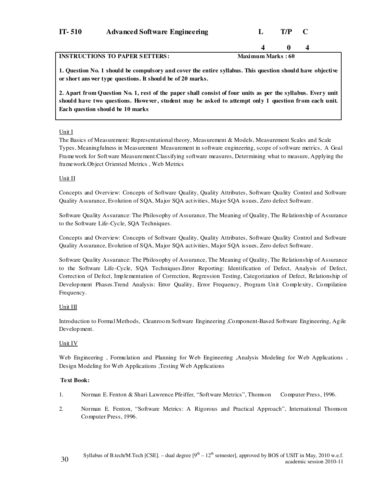| $IT-510$ | <b>Advanced Software Engineering</b> | T/P C |  |
|----------|--------------------------------------|-------|--|
|          |                                      |       |  |

#### **INSTRUCTIONS TO PAPER SETTERS:** Maximum Marks : 60

 **4 0 4**

**1. Question No. 1 should be compulsory and cover the entire syllabus. This question should have objective or short ans wer type questions. It should be of 20 marks.** 

**2. Apart from Question No. 1, rest of the paper shall consist of four units as per the syllabus. Every unit should have two questions. However, student may be asked to attempt only 1 question from each unit. Each question should be 10 marks** 

#### Unit I

The Basics of Measurement: Representational theory, Measurement & Models, Measurement Scales and Scale Types, Meaningfulness in Measurement Measurement in software engineering, scope of software metrics, A Goal Framework for Software Measurement:Classifying software measures, Determining what to measure, Applying the framework.Object Oriented Metrics , Web Metrics

#### Unit II

Concepts and Overview: Concepts of Software Quality, Quality Attributes, Software Quality Control and Software Quality Assurance, Evolution of SQA, Major SQA activities, Major SQA issues, Zero defect Software.

Software Quality Assurance: The Philosophy of Assurance, The Meaning of Quality, The Relationship of Assurance to the Software Life-Cycle, SQA Techniques.

Concepts and Overview: Concepts of Software Quality, Quality Attributes, Software Quality Control and Software Quality Assurance, Evolution of SQA, Major SQA activities, Major SQA issues, Zero defect Software.

Software Quality Assurance: The Philosophy of Assurance, The Meaning of Quality, The Relationship of Assurance to the Software Life-Cycle, SQA Techniques.Error Reporting: Identification of Defect, Analysis of Defect, Correction of Defect, Implementation of Correction, Regression Testing, Categorization of Defect, Relationship of Development Phases.Trend Analysis: Error Quality, Error Frequency, Program Unit Complexity, Compilation Frequency.

#### Unit III

Introduction to Formal Methods, Cleanroom Software Engineering ,Component-Based Software Engineering, Agile Development.

#### Unit IV

Web Engineering , Formulation and Planning for Web Engineering ,Analysis Modeling for Web Applications , Design Modeling for Web Applications ,Testing Web Applications

#### **Text Book:**

- 1. Norman E. Fenton & Shari Lawrence Pfeiffer, "Software Metrics", Thomson Computer Press, 1996.
- 2. Norman E. Fenton, "Software Metrics: A Rigorous and Practical Approach", International Thomson Computer Press, 1996.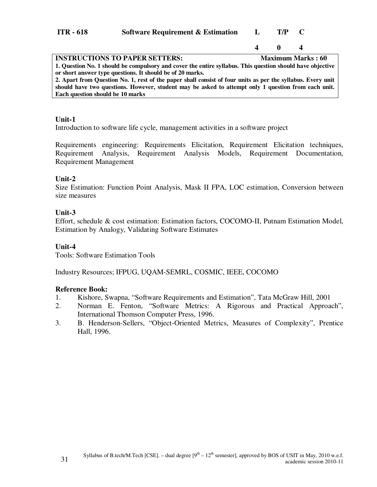| $ITR - 618$ | <b>Software Requirement &amp; Estimation</b> |  | T/P |  |
|-------------|----------------------------------------------|--|-----|--|
|-------------|----------------------------------------------|--|-----|--|

# **4 0 4**

| <b>INSTRUCTIONS TO PAPER SETTERS:</b>                                                                       | <b>Maximum Marks: 60</b> |
|-------------------------------------------------------------------------------------------------------------|--------------------------|
| 1. Question No. 1 should be compulsory and cover the entire syllabus. This question should have objective   |                          |
| or short answer type questions. It should be of 20 marks.                                                   |                          |
| 2. Apart from Question No. 1, rest of the paper shall consist of four units as per the syllabus. Every unit |                          |
| should have two questions. However, student may be asked to attempt only 1 question from each unit.         |                          |
| Each question should be 10 marks                                                                            |                          |
|                                                                                                             |                          |

#### **Unit-1**

Introduction to software life cycle, management activities in a software project

Requirements engineering: Requirements Elicitation, Requirement Elicitation techniques, Requirement Analysis, Requirement Analysis Models, Requirement Documentation, Requirement Management

#### **Unit-2**

Size Estimation: Function Point Analysis, Mask II FPA, LOC estimation, Conversion between size measures

#### **Unit-3**

Effort, schedule & cost estimation: Estimation factors, COCOMO-II, Putnam Estimation Model, Estimation by Analogy, Validating Software Estimates

#### **Unit-4**

Tools: Software Estimation Tools

Industry Resources; IFPUG, UQAM-SEMRL, COSMIC, IEEE, COCOMO

### **Reference Book:**

- 1. Kishore, Swapna, "Software Requirements and Estimation", Tata McGraw Hill, 2001
- 2. Norman E. Fenton, "Software Metrics: A Rigorous and Practical Approach", International Thomson Computer Press, 1996.
- 3. B. Henderson-Sellers, "Object-Oriented Metrics, Measures of Complexity", Prentice Hall, 1996.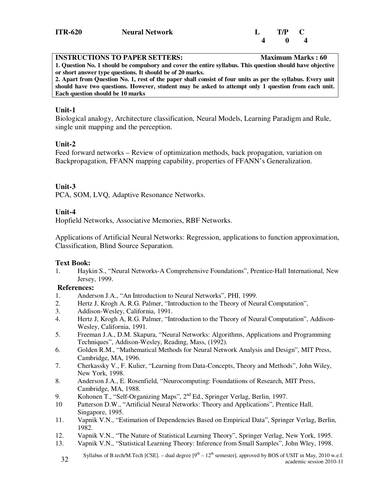| <b>INSTRUCTIONS TO PAPER SETTERS:</b>                                                                       | <b>Maximum Marks: 60</b> |
|-------------------------------------------------------------------------------------------------------------|--------------------------|
| 1. Question No. 1 should be compulsory and cover the entire syllabus. This question should have objective   |                          |
| or short answer type questions. It should be of 20 marks.                                                   |                          |
| 2. Apart from Question No. 1, rest of the paper shall consist of four units as per the syllabus. Every unit |                          |
| should have two questions. However, student may be asked to attempt only 1 question from each unit.         |                          |
| Each question should be 10 marks                                                                            |                          |

Biological analogy, Architecture classification, Neural Models, Learning Paradigm and Rule, single unit mapping and the perception.

#### **Unit-2**

Feed forward networks – Review of optimization methods, back propagation, variation on Backpropagation, FFANN mapping capability, properties of FFANN's Generalization.

### **Unit-3**

PCA, SOM, LVQ, Adaptive Resonance Networks.

### **Unit-4**

Hopfield Networks, Associative Memories, RBF Networks.

Applications of Artificial Neural Networks: Regression, applications to function approximation, Classification, Blind Source Separation.

### **Text Book:**

1. Haykin S., "Neural Networks-A Comprehensive Foundations", Prentice-Hall International, New Jersey, 1999.

### **References:**

- 1. Anderson J.A., "An Introduction to Neural Networks", PHI, 1999.
- 2. Hertz J, Krogh A, R.G. Palmer, "Introduction to the Theory of Neural Computation",
- 3. Addison-Wesley, California, 1991.
- 4. Hertz J, Krogh A, R.G. Palmer, "Introduction to the Theory of Neural Computation", Addison-Wesley, California, 1991.
- 5. Freeman J.A., D.M. Skapura, "Neural Networks: Algorithms, Applications and Programming Techniques", Addison-Wesley, Reading, Mass, (1992).
- 6. Golden R.M., "Mathematical Methods for Neural Network Analysis and Design", MIT Press, Cambridge, MA, 1996.
- 7. Cherkassky V., F. Kulier, "Learning from Data-Concepts, Theory and Methods", John Wiley, New York, 1998.
- 8. Anderson J.A., E. Rosenfield, "Neurocomputing: Foundatiions of Research, MIT Press, Cambridge, MA, 1988.
- 9. Kohonen T., "Self-Organizing Maps",  $2<sup>nd</sup>$  Ed., Springer Verlag, Berlin, 1997.
- 10 Patterson D.W., "Artificial Neural Networks: Theory and Applications", Prentice Hall, Singapore, 1995.
- 11. Vapnik V.N., "Estimation of Dependencies Based on Empirical Data", Springer Verlag, Berlin, 1982.
- 12. Vapnik V.N., "The Nature of Statistical Learning Theory", Springer Verlag, New York, 1995.
- 13. Vapnik V.N., "Statistical Learning Theory: Inference from Small Samples", John Wley, 1998.
- Syllabus of B.tech/M.Tech [CSE]. dual degree  $[9<sup>th</sup> 12<sup>th</sup>$  semester], approved by BOS of USIT in May, 2010 w.e.f. academic session 2010-11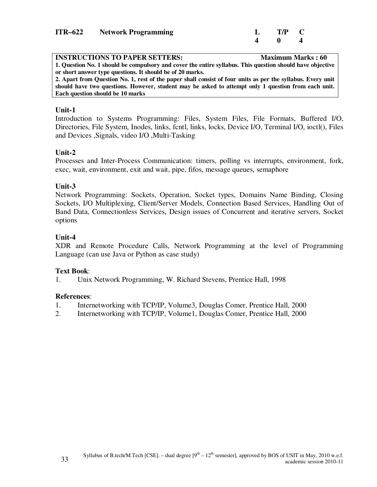| <b>ITR-622</b> Network Programming | $L$ T/P C |  |
|------------------------------------|-----------|--|
|                                    |           |  |

| <b>INSTRUCTIONS TO PAPER SETTERS:</b>                                                                       | <b>Maximum Marks: 60</b> |
|-------------------------------------------------------------------------------------------------------------|--------------------------|
| 1. Question No. 1 should be compulsory and cover the entire syllabus. This question should have objective   |                          |
| or short answer type questions. It should be of 20 marks.                                                   |                          |
| 2. Apart from Question No. 1, rest of the paper shall consist of four units as per the syllabus. Every unit |                          |
| should have two questions. However, student may be asked to attempt only 1 question from each unit.         |                          |
| Each question should be 10 marks                                                                            |                          |

Introduction to Systems Programming: Files, System Files, File Formats, Buffered I/O, Directories, File System, Inodes, links, fcntl, links, locks, Device I/O, Terminal I/O, ioctl(), Files and Devices ,Signals, video I/O ,Multi-Tasking

### **Unit-2**

Processes and Inter-Process Communication: timers, polling vs interrupts, environment, fork, exec, wait, environment, exit and wait, pipe, fifos, message queues, semaphore

#### **Unit-3**

Network Programming: Sockets, Operation, Socket types, Domains Name Binding, Closing Sockets, I/O Multiplexing, Client/Server Models, Connection Based Services, Handling Out of Band Data, Connectionless Services, Design issues of Concurrent and iterative servers, Socket options

### **Unit-4**

XDR and Remote Procedure Calls, Network Programming at the level of Programming Language (can use Java or Python as case study)

#### **Text Book**:

1. Unix Network Programming, W. Richard Stevens, Prentice Hall, 1998

#### **References**:

- 1. Internetworking with TCP/IP, Volume3, Douglas Comer, Prentice Hall, 2000
- 2. Internetworking with TCP/IP, Volume1, Douglas Comer, Prentice Hall, 2000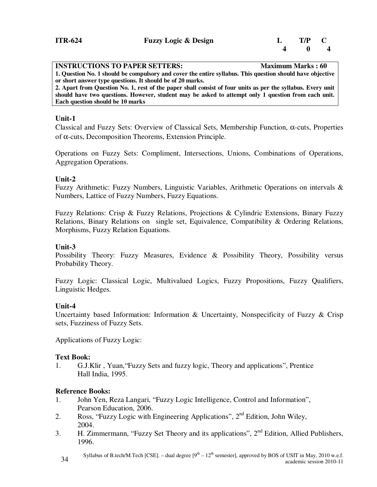| <b>INSTRUCTIONS TO PAPER SETTERS:</b>                                                                       | <b>Maximum Marks: 60</b> |
|-------------------------------------------------------------------------------------------------------------|--------------------------|
| 1. Question No. 1 should be compulsory and cover the entire syllabus. This question should have objective   |                          |
| or short answer type questions. It should be of 20 marks.                                                   |                          |
| 2. Apart from Question No. 1, rest of the paper shall consist of four units as per the syllabus. Every unit |                          |
| should have two questions. However, student may be asked to attempt only 1 question from each unit.         |                          |
| Each question should be 10 marks                                                                            |                          |

Classical and Fuzzy Sets: Overview of Classical Sets, Membership Function, α-cuts, Properties of α-cuts, Decomposition Theorems, Extension Principle.

Operations on Fuzzy Sets: Compliment, Intersections, Unions, Combinations of Operations, Aggregation Operations.

### **Unit-2**

Fuzzy Arithmetic: Fuzzy Numbers, Linguistic Variables, Arithmetic Operations on intervals & Numbers, Lattice of Fuzzy Numbers, Fuzzy Equations.

Fuzzy Relations: Crisp & Fuzzy Relations, Projections & Cylindric Extensions, Binary Fuzzy Relations, Binary Relations on single set, Equivalence, Compatibility & Ordering Relations, Morphisms, Fuzzy Relation Equations.

#### **Unit-3**

Possibility Theory: Fuzzy Measures, Evidence & Possibility Theory, Possibility versus Probability Theory.

Fuzzy Logic: Classical Logic, Multivalued Logics, Fuzzy Propositions, Fuzzy Qualifiers, Linguistic Hedges.

#### **Unit-4**

Uncertainty based Information: Information & Uncertainty, Nonspecificity of Fuzzy & Crisp sets, Fuzziness of Fuzzy Sets.

Applications of Fuzzy Logic:

### **Text Book:**

1. G.J.Klir , Yuan,"Fuzzy Sets and fuzzy logic, Theory and applications", Prentice Hall India, 1995.

#### **Reference Books:**

- 1. John Yen, Reza Langari, "Fuzzy Logic Intelligence, Control and Information", Pearson Education, 2006.
- 2. Ross, "Fuzzy Logic with Engineering Applications",  $2<sup>nd</sup>$  Edition, John Wiley, 2004.
- 3. H. Zimmermann, "Fuzzy Set Theory and its applications",  $2<sup>nd</sup>$  Edition, Allied Publishers, 1996.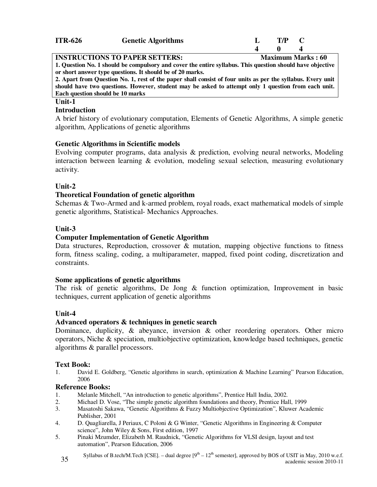| <b>ITR-626</b> | <b>Genetic Algorithms</b> | T/P |  |
|----------------|---------------------------|-----|--|
|                |                           |     |  |

**INSTRUCTIONS TO PAPER SETTERS:** Maximum Marks : 60 **1. Question No. 1 should be compulsory and cover the entire syllabus. This question should have objective or short answer type questions. It should be of 20 marks. 2. Apart from Question No. 1, rest of the paper shall consist of four units as per the syllabus. Every unit** 

**should have two questions. However, student may be asked to attempt only 1 question from each unit. Each question should be 10 marks**

#### **Unit-1**

#### **Introduction**

A brief history of evolutionary computation, Elements of Genetic Algorithms, A simple genetic algorithm, Applications of genetic algorithms

### **Genetic Algorithms in Scientific models**

Evolving computer programs, data analysis & prediction, evolving neural networks, Modeling interaction between learning & evolution, modeling sexual selection, measuring evolutionary activity.

# **Unit-2**

# **Theoretical Foundation of genetic algorithm**

Schemas & Two-Armed and k-armed problem, royal roads, exact mathematical models of simple genetic algorithms, Statistical- Mechanics Approaches.

# **Unit-3**

# **Computer Implementation of Genetic Algorithm**

Data structures, Reproduction, crossover & mutation, mapping objective functions to fitness form, fitness scaling, coding, a multiparameter, mapped, fixed point coding, discretization and constraints.

### **Some applications of genetic algorithms**

The risk of genetic algorithms, De Jong & function optimization, Improvement in basic techniques, current application of genetic algorithms

### **Unit-4**

### **Advanced operators & techniques in genetic search**

Dominance, duplicity,  $\&$  abeyance, inversion  $\&$  other reordering operators. Other micro operators, Niche & speciation, multiobjective optimization, knowledge based techniques, genetic algorithms & parallel processors.

### **Text Book:**

1. David E. Goldberg, "Genetic algorithms in search, optimization & Machine Learning" Pearson Education, 2006

### **Reference Books:**

- 1. Melanle Mitchell, "An introduction to genetic algorithms", Prentice Hall India, 2002.
- 2. Michael D. Vose, "The simple genetic algorithm foundations and theory, Prentice Hall, 1999<br>3. Masatoshi Sakawa, "Genetic Algorithms & Fuzzy Multiobiective Optimization". Kluwer Aca
- 3. Masatoshi Sakawa, "Genetic Algorithms & Fuzzy Multiobjective Optimization", Kluwer Academic Publisher, 2001
- 4. D. Quagliarella, J Periaux, C Poloni & G Winter, "Genetic Algorithms in Engineering & Computer science", John Wiley & Sons, First edition, 1997
- 5. Pinaki Mzumder, Elizabeth M. Raudnick, "Genetic Algorithms for VLSI design, layout and test automation", Pearson Education, 2006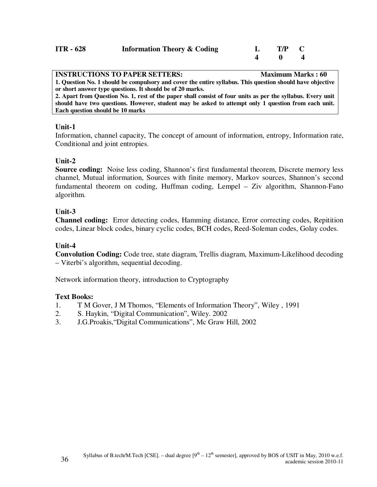| $ITR - 628$ | <b>Information Theory &amp; Coding</b> | T/P C |  |
|-------------|----------------------------------------|-------|--|
|             |                                        |       |  |

| <b>INSTRUCTIONS TO PAPER SETTERS:</b>                                                                       | <b>Maximum Marks: 60</b> |
|-------------------------------------------------------------------------------------------------------------|--------------------------|
| 1. Question No. 1 should be compulsory and cover the entire syllabus. This question should have objective   |                          |
| or short answer type questions. It should be of 20 marks.                                                   |                          |
| 2. Apart from Question No. 1, rest of the paper shall consist of four units as per the syllabus. Every unit |                          |
| should have two questions. However, student may be asked to attempt only 1 question from each unit.         |                          |

**Each question should be 10 marks**

#### **Unit-1**

Information, channel capacity, The concept of amount of information, entropy, Information rate, Conditional and joint entropies.

### **Unit-2**

**Source coding:** Noise less coding, Shannon's first fundamental theorem, Discrete memory less channel, Mutual information, Sources with finite memory, Markov sources, Shannon's second fundamental theorem on coding, Huffman coding, Lempel – Ziv algorithm, Shannon-Fano algorithm.

# **Unit-3**

**Channel coding:** Error detecting codes, Hamming distance, Error correcting codes, Repitition codes, Linear block codes, binary cyclic codes, BCH codes, Reed-Soleman codes, Golay codes.

# **Unit-4**

**Convolution Coding:** Code tree, state diagram, Trellis diagram, Maximum-Likelihood decoding – Viterbi's algorithm, sequential decoding.

Network information theory, introduction to Cryptography

### **Text Books:**

- 1. T M Gover, J M Thomos, "Elements of Information Theory", Wiley , 1991
- 2. S. Haykin, "Digital Communication", Wiley. 2002
- 3. J.G.Proakis,"Digital Communications", Mc Graw Hill, 2002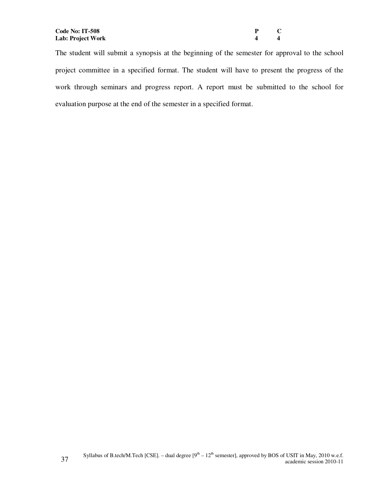| P                       | C |
|-------------------------|---|
| $\overline{\mathbf{4}}$ | 4 |

The student will submit a synopsis at the beginning of the semester for approval to the school project committee in a specified format. The student will have to present the progress of the work through seminars and progress report. A report must be submitted to the school for evaluation purpose at the end of the semester in a specified format.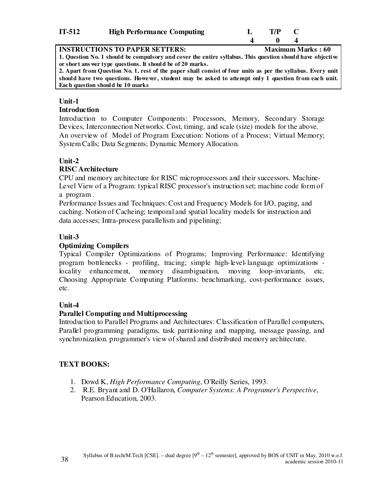| $IT-512$ | <b>High Performance Computing</b> | T/P |  |
|----------|-----------------------------------|-----|--|
|          |                                   |     |  |

**INSTRUCTIONS TO PAPER SETTERS:** Maximum Marks : 60 **1. Question No. 1 should be compulsory and cover the entire syllabus. This question should have objective or short ans wer type questions. It should be of 20 marks.** 

**2. Apart from Question No. 1, rest of the paper shall consist of four units as per the syllabus. Every unit should have two questions. However, student may be asked to attempt only 1 question from each unit. Each question should be 10 marks**

#### **Unit-1**

#### **Introduction**

Introduction to Computer Components: Processors, Memory, Secondary Storage Devices, Interconnection Networks. Cost, timing, and scale (size) models for the above. An overview of Model of Program Execution: Notions of a Process; Virtual Memory; System Calls; Data Segments; Dynamic Memory Allocation.

### **Unit-2**

#### **RISC Architecture**

CPU and memory architecture for RISC microprocessors and their successors. Machine-Level View of a Program: typical RISC processor's instruction set; machine code form of a program .

Performance Issues and Techniques: Cost and Frequency Models for I/O, paging, and caching. Notion of Cacheing; temporal and spatial locality models for instruction and data accesses; Intra-process parallelism and pipelining;

### **Unit-3**

### **Optimizing Compilers**

Typical Compiler Optimizations of Programs; Improving Performance: Identifying program bottlenecks - profiling, tracing; simple high-level-language optimizations locality enhancement, memory disambiguation, moving loop-invariants, etc. Choosing Appropriate Computing Platforms: benchmarking, cost-performance issues, etc.

### **Unit-4**

### **Parallel Computing and Multiprocessing**

Introduction to Parallel Programs and Architectures: Classification of Parallel computers, Parallel programming paradigms, task partitioning and mapping, message passing, and synchronization. programmer's view of shared and distributed memory architecture.

### **TEXT BOOKS:**

- 1. Dowd K, *High Performance Computing*, O'Reilly Series, 1993.
- 2. R.E. Bryant and D. O'Hallaron, *Computer Systems: A Programer's Perspective*, Pearson Education, 2003.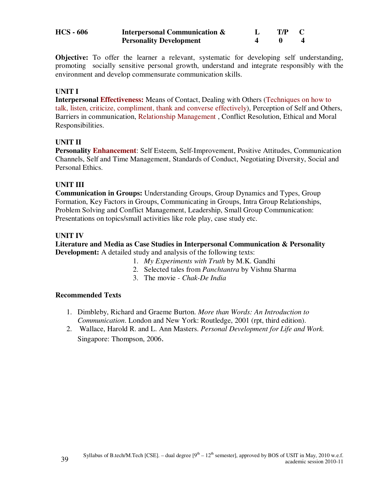| <b>HCS - 606</b> | <b>Interpersonal Communication &amp;</b> | T/P |  |
|------------------|------------------------------------------|-----|--|
|                  | <b>Personality Development</b>           |     |  |

**Objective:** To offer the learner a relevant, systematic for developing self understanding, promoting socially sensitive personal growth, understand and integrate responsibly with the environment and develop commensurate communication skills.

### **UNIT I**

**Interpersonal Effectiveness:** Means of Contact, Dealing with Others (Techniques on how to talk, listen, criticize, compliment, thank and converse effectively), Perception of Self and Others, Barriers in communication, Relationship Management , Conflict Resolution, Ethical and Moral Responsibilities.

### **UNIT II**

**Personality Enhancement**: Self Esteem, Self-Improvement, Positive Attitudes, Communication Channels, Self and Time Management, Standards of Conduct, Negotiating Diversity, Social and Personal Ethics.

#### **UNIT III**

**Communication in Groups:** Understanding Groups, Group Dynamics and Types, Group Formation, Key Factors in Groups, Communicating in Groups, Intra Group Relationships, Problem Solving and Conflict Management, Leadership, Small Group Communication: Presentations on topics/small activities like role play, case study etc.

#### **UNIT IV**

**Literature and Media as Case Studies in Interpersonal Communication & Personality Development:** A detailed study and analysis of the following texts:

- 1. *My Experiments with Truth* by M.K. Gandhi
- 2. Selected tales from *Panchtantra* by Vishnu Sharma
- 3. The movie *Chak-De India*

#### **Recommended Texts**

- 1. Dimbleby, Richard and Graeme Burton. *More than Words: An Introduction to Communication*. London and New York: Routledge, 2001 (rpt, third edition).
- 2. Wallace, Harold R. and L. Ann Masters. *Personal Development for Life and Work.* Singapore: Thompson, 2006.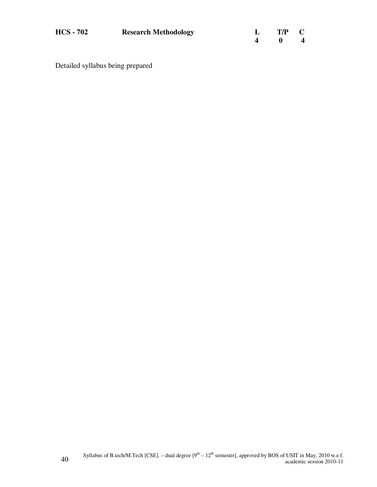| <b>HCS - 702</b> | <b>Research Methodology</b> | L T/P C |                         |
|------------------|-----------------------------|---------|-------------------------|
|                  |                             |         | $\overline{\mathbf{4}}$ |

Detailed syllabus being prepared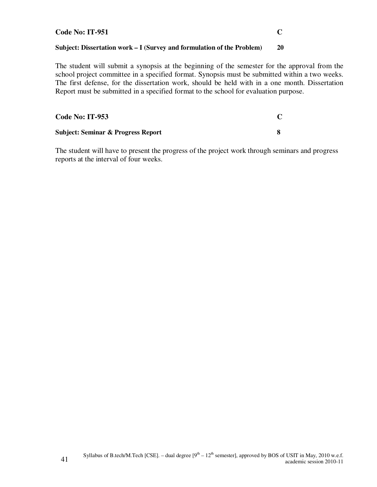#### **Code No: IT-951 C**

#### **Subject: Dissertation work – I (Survey and formulation of the Problem) 20**

The student will submit a synopsis at the beginning of the semester for the approval from the school project committee in a specified format. Synopsis must be submitted within a two weeks. The first defense, for the dissertation work, should be held with in a one month. Dissertation Report must be submitted in a specified format to the school for evaluation purpose.

| <b>Code No: IT-953</b>                        |  |
|-----------------------------------------------|--|
| <b>Subject: Seminar &amp; Progress Report</b> |  |

The student will have to present the progress of the project work through seminars and progress reports at the interval of four weeks.